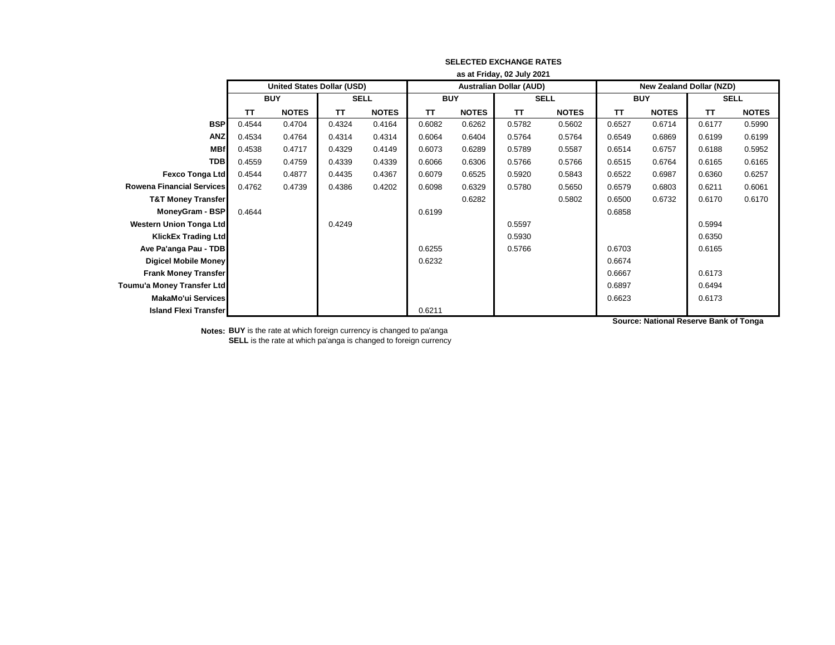|                                  | as at Friday, 02 July 2021 |                                   |             |              |            |              |                                |              |                                 |              |             |              |
|----------------------------------|----------------------------|-----------------------------------|-------------|--------------|------------|--------------|--------------------------------|--------------|---------------------------------|--------------|-------------|--------------|
|                                  |                            | <b>United States Dollar (USD)</b> |             |              |            |              | <b>Australian Dollar (AUD)</b> |              | <b>New Zealand Dollar (NZD)</b> |              |             |              |
|                                  |                            | <b>BUY</b>                        | <b>SELL</b> |              | <b>BUY</b> |              | <b>SELL</b>                    |              | <b>BUY</b>                      |              | <b>SELL</b> |              |
|                                  | TΤ                         | <b>NOTES</b>                      | <b>TT</b>   | <b>NOTES</b> | TΤ         | <b>NOTES</b> | <b>TT</b>                      | <b>NOTES</b> | <b>TT</b>                       | <b>NOTES</b> | <b>TT</b>   | <b>NOTES</b> |
| <b>BSP</b>                       | 0.4544                     | 0.4704                            | 0.4324      | 0.4164       | 0.6082     | 0.6262       | 0.5782                         | 0.5602       | 0.6527                          | 0.6714       | 0.6177      | 0.5990       |
| <b>ANZ</b>                       | 0.4534                     | 0.4764                            | 0.4314      | 0.4314       | 0.6064     | 0.6404       | 0.5764                         | 0.5764       | 0.6549                          | 0.6869       | 0.6199      | 0.6199       |
| <b>MBf</b>                       | 0.4538                     | 0.4717                            | 0.4329      | 0.4149       | 0.6073     | 0.6289       | 0.5789                         | 0.5587       | 0.6514                          | 0.6757       | 0.6188      | 0.5952       |
| <b>TDB</b>                       | 0.4559                     | 0.4759                            | 0.4339      | 0.4339       | 0.6066     | 0.6306       | 0.5766                         | 0.5766       | 0.6515                          | 0.6764       | 0.6165      | 0.6165       |
| <b>Fexco Tonga Ltd</b>           | 0.4544                     | 0.4877                            | 0.4435      | 0.4367       | 0.6079     | 0.6525       | 0.5920                         | 0.5843       | 0.6522                          | 0.6987       | 0.6360      | 0.6257       |
| <b>Rowena Financial Services</b> | 0.4762                     | 0.4739                            | 0.4386      | 0.4202       | 0.6098     | 0.6329       | 0.5780                         | 0.5650       | 0.6579                          | 0.6803       | 0.6211      | 0.6061       |
| <b>T&amp;T Money Transfer</b>    |                            |                                   |             |              |            | 0.6282       |                                | 0.5802       | 0.6500                          | 0.6732       | 0.6170      | 0.6170       |
| MoneyGram - BSP                  | 0.4644                     |                                   |             |              | 0.6199     |              |                                |              | 0.6858                          |              |             |              |
| <b>Western Union Tonga Ltd</b>   |                            |                                   | 0.4249      |              |            |              | 0.5597                         |              |                                 |              | 0.5994      |              |
| <b>KlickEx Trading Ltd</b>       |                            |                                   |             |              |            |              | 0.5930                         |              |                                 |              | 0.6350      |              |
| Ave Pa'anga Pau - TDB            |                            |                                   |             |              | 0.6255     |              | 0.5766                         |              | 0.6703                          |              | 0.6165      |              |
| <b>Digicel Mobile Money</b>      |                            |                                   |             |              | 0.6232     |              |                                |              | 0.6674                          |              |             |              |
| <b>Frank Money Transfer</b>      |                            |                                   |             |              |            |              |                                |              | 0.6667                          |              | 0.6173      |              |
| Toumu'a Money Transfer Ltd       |                            |                                   |             |              |            |              |                                |              | 0.6897                          |              | 0.6494      |              |
| MakaMo'ui Services               |                            |                                   |             |              |            |              |                                |              | 0.6623                          |              | 0.6173      |              |
| <b>Island Flexi Transfer</b>     |                            |                                   |             |              | 0.6211     |              |                                |              |                                 |              |             |              |

**Notes: BUY** is the rate at which foreign currency is changed to pa'anga

**SELL** is the rate at which pa'anga is changed to foreign currency

**Source: National Reserve Bank of Tonga**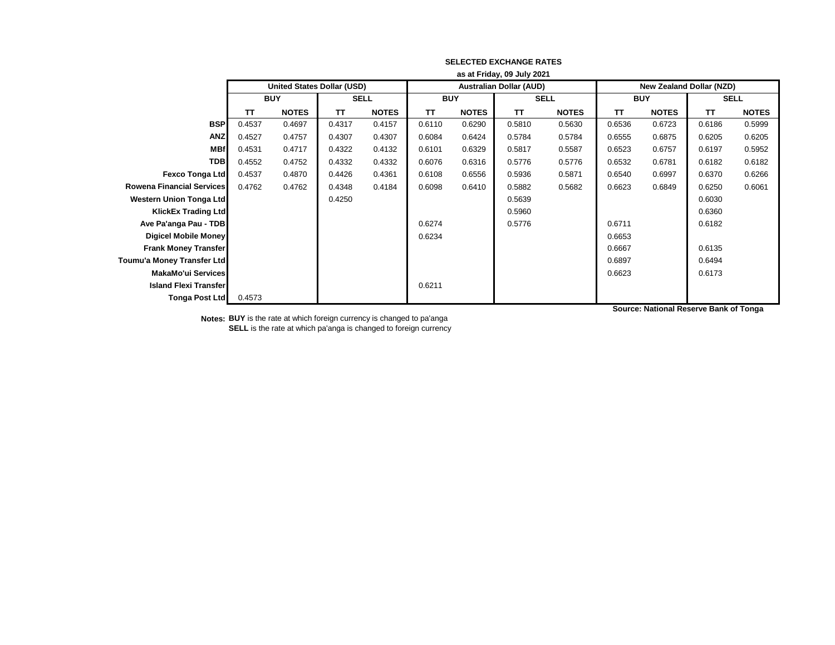|                                  | as at Friday, 09 July 2021 |                                   |             |              |            |              |                                |              |                          |              |             |              |
|----------------------------------|----------------------------|-----------------------------------|-------------|--------------|------------|--------------|--------------------------------|--------------|--------------------------|--------------|-------------|--------------|
|                                  |                            | <b>United States Dollar (USD)</b> |             |              |            |              | <b>Australian Dollar (AUD)</b> |              | New Zealand Dollar (NZD) |              |             |              |
|                                  | <b>BUY</b>                 |                                   | <b>SELL</b> |              | <b>BUY</b> |              | <b>SELL</b>                    |              | <b>BUY</b>               |              | <b>SELL</b> |              |
|                                  | TΤ                         | <b>NOTES</b>                      | TΤ          | <b>NOTES</b> | TΤ         | <b>NOTES</b> | TT                             | <b>NOTES</b> | TΤ                       | <b>NOTES</b> | TΤ          | <b>NOTES</b> |
| <b>BSP</b>                       | 0.4537                     | 0.4697                            | 0.4317      | 0.4157       | 0.6110     | 0.6290       | 0.5810                         | 0.5630       | 0.6536                   | 0.6723       | 0.6186      | 0.5999       |
| <b>ANZ</b>                       | 0.4527                     | 0.4757                            | 0.4307      | 0.4307       | 0.6084     | 0.6424       | 0.5784                         | 0.5784       | 0.6555                   | 0.6875       | 0.6205      | 0.6205       |
| <b>MBf</b>                       | 0.4531                     | 0.4717                            | 0.4322      | 0.4132       | 0.6101     | 0.6329       | 0.5817                         | 0.5587       | 0.6523                   | 0.6757       | 0.6197      | 0.5952       |
| <b>TDB</b>                       | 0.4552                     | 0.4752                            | 0.4332      | 0.4332       | 0.6076     | 0.6316       | 0.5776                         | 0.5776       | 0.6532                   | 0.6781       | 0.6182      | 0.6182       |
| <b>Fexco Tonga Ltd</b>           | 0.4537                     | 0.4870                            | 0.4426      | 0.4361       | 0.6108     | 0.6556       | 0.5936                         | 0.5871       | 0.6540                   | 0.6997       | 0.6370      | 0.6266       |
| <b>Rowena Financial Services</b> | 0.4762                     | 0.4762                            | 0.4348      | 0.4184       | 0.6098     | 0.6410       | 0.5882                         | 0.5682       | 0.6623                   | 0.6849       | 0.6250      | 0.6061       |
| <b>Western Union Tonga Ltd</b>   |                            |                                   | 0.4250      |              |            |              | 0.5639                         |              |                          |              | 0.6030      |              |
| <b>KlickEx Trading Ltd</b>       |                            |                                   |             |              |            |              | 0.5960                         |              |                          |              | 0.6360      |              |
| Ave Pa'anga Pau - TDB            |                            |                                   |             |              | 0.6274     |              | 0.5776                         |              | 0.6711                   |              | 0.6182      |              |
| <b>Digicel Mobile Money</b>      |                            |                                   |             |              | 0.6234     |              |                                |              | 0.6653                   |              |             |              |
| <b>Frank Money Transfer</b>      |                            |                                   |             |              |            |              |                                |              | 0.6667                   |              | 0.6135      |              |
| Toumu'a Money Transfer Ltd       |                            |                                   |             |              |            |              |                                |              | 0.6897                   |              | 0.6494      |              |
| <b>MakaMo'ui Services</b>        |                            |                                   |             |              |            |              |                                |              | 0.6623                   |              | 0.6173      |              |
| <b>Island Flexi Transfer</b>     |                            |                                   |             |              | 0.6211     |              |                                |              |                          |              |             |              |
| <b>Tonga Post Ltd</b>            | 0.4573                     |                                   |             |              |            |              |                                |              |                          |              |             |              |

**Notes: BUY** is the rate at which foreign currency is changed to pa'anga **SELL** is the rate at which pa'anga is changed to foreign currency **Source: National Reserve Bank of Tonga**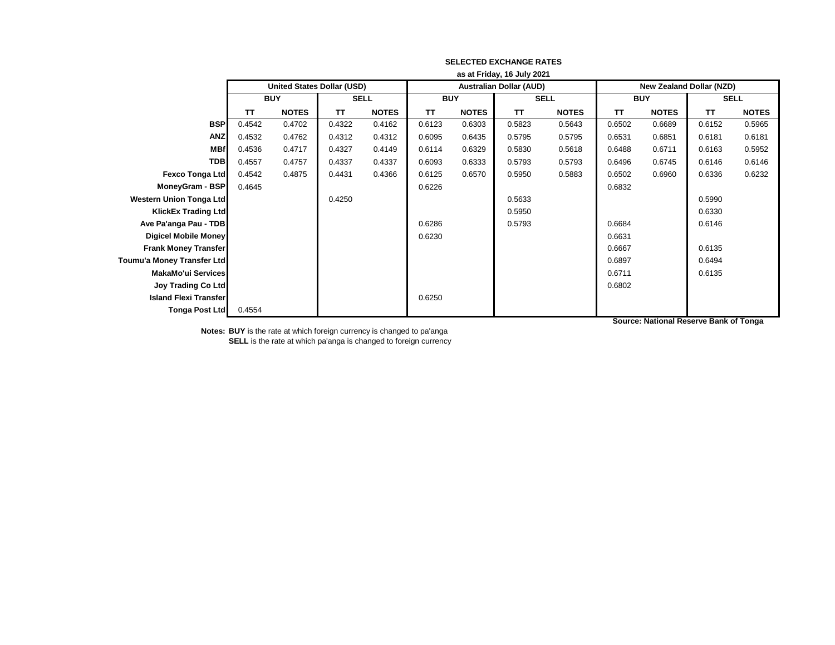|                                |        |                                   |             |              |            |              | as at Friday, 16 July 2021     |              |                                 |              |             |              |
|--------------------------------|--------|-----------------------------------|-------------|--------------|------------|--------------|--------------------------------|--------------|---------------------------------|--------------|-------------|--------------|
|                                |        | <b>United States Dollar (USD)</b> |             |              |            |              | <b>Australian Dollar (AUD)</b> |              | <b>New Zealand Dollar (NZD)</b> |              |             |              |
|                                |        | <b>BUY</b>                        | <b>SELL</b> |              | <b>BUY</b> |              | <b>SELL</b>                    |              | <b>BUY</b>                      |              | <b>SELL</b> |              |
|                                | TΤ     | <b>NOTES</b>                      | TΤ          | <b>NOTES</b> | <b>TT</b>  | <b>NOTES</b> | TT                             | <b>NOTES</b> | <b>TT</b>                       | <b>NOTES</b> | TT          | <b>NOTES</b> |
| <b>BSP</b>                     | 0.4542 | 0.4702                            | 0.4322      | 0.4162       | 0.6123     | 0.6303       | 0.5823                         | 0.5643       | 0.6502                          | 0.6689       | 0.6152      | 0.5965       |
| <b>ANZ</b>                     | 0.4532 | 0.4762                            | 0.4312      | 0.4312       | 0.6095     | 0.6435       | 0.5795                         | 0.5795       | 0.6531                          | 0.6851       | 0.6181      | 0.6181       |
| <b>MBf</b>                     | 0.4536 | 0.4717                            | 0.4327      | 0.4149       | 0.6114     | 0.6329       | 0.5830                         | 0.5618       | 0.6488                          | 0.6711       | 0.6163      | 0.5952       |
| <b>TDB</b>                     | 0.4557 | 0.4757                            | 0.4337      | 0.4337       | 0.6093     | 0.6333       | 0.5793                         | 0.5793       | 0.6496                          | 0.6745       | 0.6146      | 0.6146       |
| <b>Fexco Tonga Ltd</b>         | 0.4542 | 0.4875                            | 0.4431      | 0.4366       | 0.6125     | 0.6570       | 0.5950                         | 0.5883       | 0.6502                          | 0.6960       | 0.6336      | 0.6232       |
| <b>MoneyGram - BSP</b>         | 0.4645 |                                   |             |              | 0.6226     |              |                                |              | 0.6832                          |              |             |              |
| <b>Western Union Tonga Ltd</b> |        |                                   | 0.4250      |              |            |              | 0.5633                         |              |                                 |              | 0.5990      |              |
| <b>KlickEx Trading Ltd</b>     |        |                                   |             |              |            |              | 0.5950                         |              |                                 |              | 0.6330      |              |
| Ave Pa'anga Pau - TDB          |        |                                   |             |              | 0.6286     |              | 0.5793                         |              | 0.6684                          |              | 0.6146      |              |
| <b>Digicel Mobile Money</b>    |        |                                   |             |              | 0.6230     |              |                                |              | 0.6631                          |              |             |              |
| <b>Frank Money Transfer</b>    |        |                                   |             |              |            |              |                                |              | 0.6667                          |              | 0.6135      |              |
| Toumu'a Money Transfer Ltd     |        |                                   |             |              |            |              |                                |              | 0.6897                          |              | 0.6494      |              |
| MakaMo'ui Services             |        |                                   |             |              |            |              |                                |              | 0.6711                          |              | 0.6135      |              |
| <b>Joy Trading Co Ltd</b>      |        |                                   |             |              |            |              |                                |              | 0.6802                          |              |             |              |
| <b>Island Flexi Transfer</b>   |        |                                   |             |              | 0.6250     |              |                                |              |                                 |              |             |              |
| <b>Tonga Post Ltd</b>          | 0.4554 |                                   |             |              |            |              |                                |              |                                 |              |             |              |

**Source: National Reserve Bank of Tonga**

**Notes: BUY** is the rate at which foreign currency is changed to pa'anga **SELL** is the rate at which pa'anga is changed to foreign currency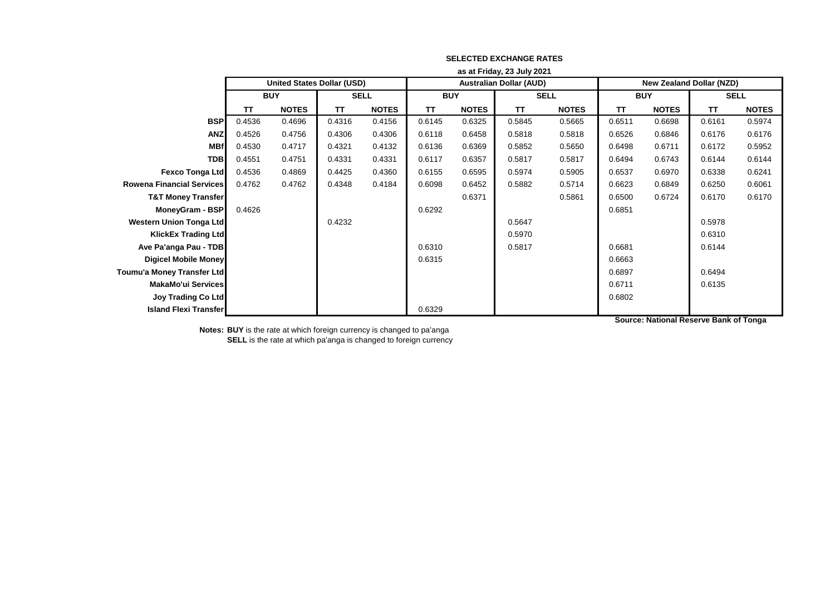|                                   | as at Friday, 23 July 2021 |                                   |             |              |            |              |                                |              |                                 |              |             |              |
|-----------------------------------|----------------------------|-----------------------------------|-------------|--------------|------------|--------------|--------------------------------|--------------|---------------------------------|--------------|-------------|--------------|
|                                   |                            | <b>United States Dollar (USD)</b> |             |              |            |              | <b>Australian Dollar (AUD)</b> |              | <b>New Zealand Dollar (NZD)</b> |              |             |              |
|                                   |                            | <b>BUY</b>                        | <b>SELL</b> |              | <b>BUY</b> |              | <b>SELL</b>                    |              | <b>BUY</b>                      |              | <b>SELL</b> |              |
|                                   | TΤ                         | <b>NOTES</b>                      | <b>TT</b>   | <b>NOTES</b> | TΤ         | <b>NOTES</b> | <b>TT</b>                      | <b>NOTES</b> | TΤ                              | <b>NOTES</b> | TΤ          | <b>NOTES</b> |
| <b>BSP</b>                        | 0.4536                     | 0.4696                            | 0.4316      | 0.4156       | 0.6145     | 0.6325       | 0.5845                         | 0.5665       | 0.6511                          | 0.6698       | 0.6161      | 0.5974       |
| <b>ANZ</b>                        | 0.4526                     | 0.4756                            | 0.4306      | 0.4306       | 0.6118     | 0.6458       | 0.5818                         | 0.5818       | 0.6526                          | 0.6846       | 0.6176      | 0.6176       |
| <b>MBf</b>                        | 0.4530                     | 0.4717                            | 0.4321      | 0.4132       | 0.6136     | 0.6369       | 0.5852                         | 0.5650       | 0.6498                          | 0.6711       | 0.6172      | 0.5952       |
| <b>TDB</b>                        | 0.4551                     | 0.4751                            | 0.4331      | 0.4331       | 0.6117     | 0.6357       | 0.5817                         | 0.5817       | 0.6494                          | 0.6743       | 0.6144      | 0.6144       |
| <b>Fexco Tonga Ltd</b>            | 0.4536                     | 0.4869                            | 0.4425      | 0.4360       | 0.6155     | 0.6595       | 0.5974                         | 0.5905       | 0.6537                          | 0.6970       | 0.6338      | 0.6241       |
| <b>Rowena Financial Services</b>  | 0.4762                     | 0.4762                            | 0.4348      | 0.4184       | 0.6098     | 0.6452       | 0.5882                         | 0.5714       | 0.6623                          | 0.6849       | 0.6250      | 0.6061       |
| <b>T&amp;T Money Transfer</b>     |                            |                                   |             |              |            | 0.6371       |                                | 0.5861       | 0.6500                          | 0.6724       | 0.6170      | 0.6170       |
| MoneyGram - BSP                   | 0.4626                     |                                   |             |              | 0.6292     |              |                                |              | 0.6851                          |              |             |              |
| <b>Western Union Tonga Ltd</b>    |                            |                                   | 0.4232      |              |            |              | 0.5647                         |              |                                 |              | 0.5978      |              |
| <b>KlickEx Trading Ltd</b>        |                            |                                   |             |              |            |              | 0.5970                         |              |                                 |              | 0.6310      |              |
| Ave Pa'anga Pau - TDB             |                            |                                   |             |              | 0.6310     |              | 0.5817                         |              | 0.6681                          |              | 0.6144      |              |
| <b>Digicel Mobile Money</b>       |                            |                                   |             |              | 0.6315     |              |                                |              | 0.6663                          |              |             |              |
| <b>Toumu'a Money Transfer Ltd</b> |                            |                                   |             |              |            |              |                                |              | 0.6897                          |              | 0.6494      |              |
| MakaMo'ui Services                |                            |                                   |             |              |            |              |                                |              | 0.6711                          |              | 0.6135      |              |
| <b>Joy Trading Co Ltd</b>         |                            |                                   |             |              |            |              |                                |              | 0.6802                          |              |             |              |
| <b>Island Flexi Transfer</b>      |                            |                                   |             |              | 0.6329     |              |                                |              |                                 |              |             |              |

**Source: National Reserve Bank of Tonga**

**Notes: BUY** is the rate at which foreign currency is changed to pa'anga **SELL** is the rate at which pa'anga is changed to foreign currency